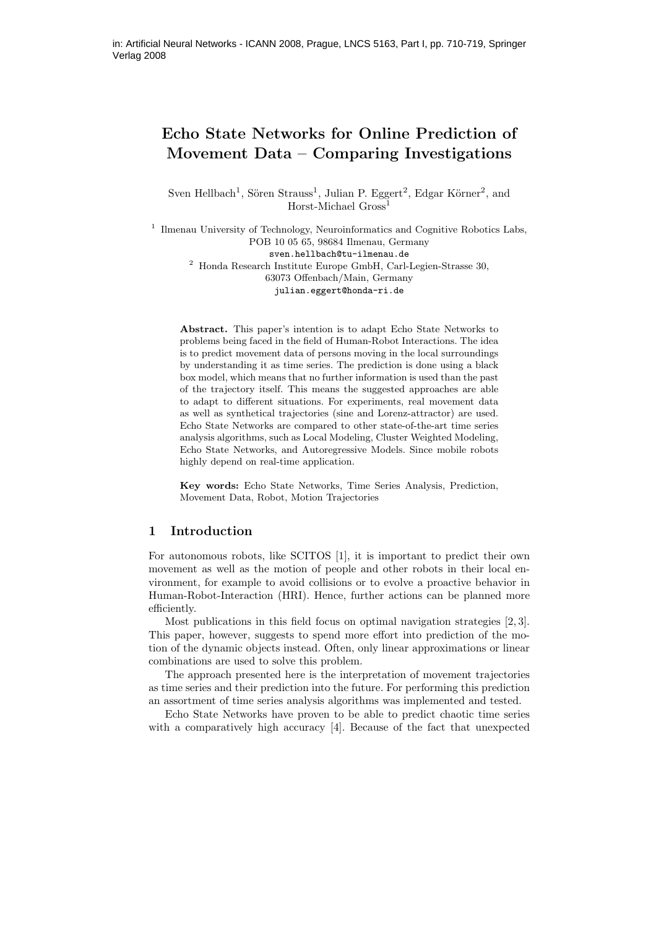# Echo State Networks for Online Prediction of Movement Data – Comparing Investigations

Sven Hellbach<sup>1</sup>, Sören Strauss<sup>1</sup>, Julian P. Eggert<sup>2</sup>, Edgar Körner<sup>2</sup>, and Horst-Michael Gross<sup>1</sup>

<sup>1</sup> Ilmenau University of Technology, Neuroinformatics and Cognitive Robotics Labs, POB 10 05 65, 98684 Ilmenau, Germany sven.hellbach@tu-ilmenau.de <sup>2</sup> Honda Research Institute Europe GmbH, Carl-Legien-Strasse 30, 63073 Offenbach/Main, Germany julian.eggert@honda-ri.de

Abstract. This paper's intention is to adapt Echo State Networks to problems being faced in the field of Human-Robot Interactions. The idea is to predict movement data of persons moving in the local surroundings by understanding it as time series. The prediction is done using a black box model, which means that no further information is used than the past of the trajectory itself. This means the suggested approaches are able to adapt to different situations. For experiments, real movement data as well as synthetical trajectories (sine and Lorenz-attractor) are used. Echo State Networks are compared to other state-of-the-art time series analysis algorithms, such as Local Modeling, Cluster Weighted Modeling, Echo State Networks, and Autoregressive Models. Since mobile robots highly depend on real-time application.

Key words: Echo State Networks, Time Series Analysis, Prediction, Movement Data, Robot, Motion Trajectories

# 1 Introduction

For autonomous robots, like SCITOS [1], it is important to predict their own movement as well as the motion of people and other robots in their local environment, for example to avoid collisions or to evolve a proactive behavior in Human-Robot-Interaction (HRI). Hence, further actions can be planned more efficiently.

Most publications in this field focus on optimal navigation strategies [2, 3]. This paper, however, suggests to spend more effort into prediction of the motion of the dynamic objects instead. Often, only linear approximations or linear combinations are used to solve this problem.

The approach presented here is the interpretation of movement trajectories as time series and their prediction into the future. For performing this prediction an assortment of time series analysis algorithms was implemented and tested.

Echo State Networks have proven to be able to predict chaotic time series with a comparatively high accuracy [4]. Because of the fact that unexpected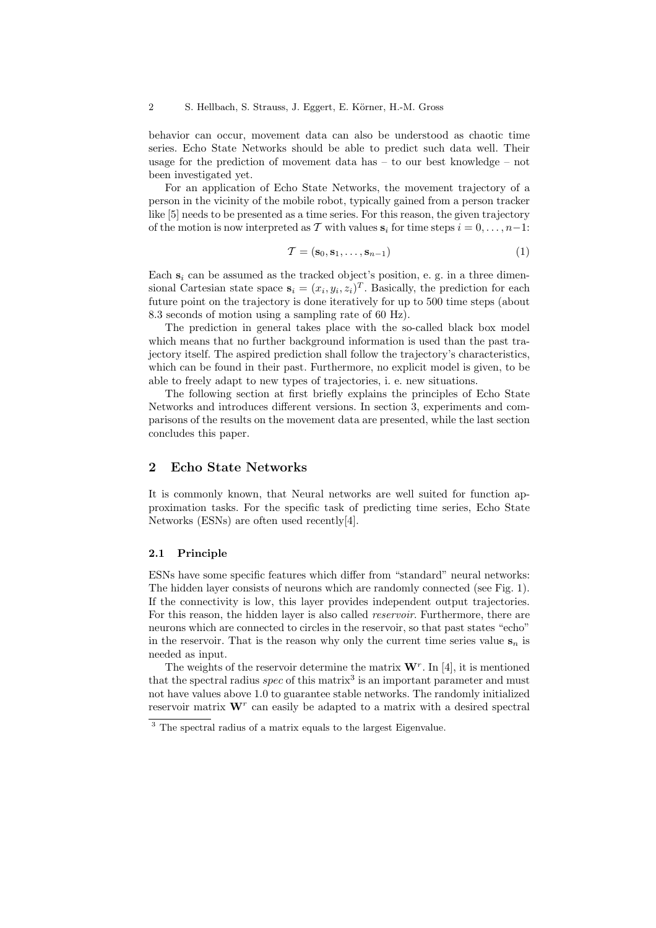behavior can occur, movement data can also be understood as chaotic time series. Echo State Networks should be able to predict such data well. Their usage for the prediction of movement data has – to our best knowledge – not been investigated yet.

For an application of Echo State Networks, the movement trajectory of a person in the vicinity of the mobile robot, typically gained from a person tracker like [5] needs to be presented as a time series. For this reason, the given trajectory of the motion is now interpreted as T with values  $s_i$  for time steps  $i = 0, \ldots, n-1$ :

$$
\mathcal{T} = (\mathbf{s}_0, \mathbf{s}_1, \dots, \mathbf{s}_{n-1})
$$
\n<sup>(1)</sup>

Each  $s_i$  can be assumed as the tracked object's position, e. g. in a three dimensional Cartesian state space  $\mathbf{s}_i = (x_i, y_i, z_i)^T$ . Basically, the prediction for each future point on the trajectory is done iteratively for up to 500 time steps (about 8.3 seconds of motion using a sampling rate of 60 Hz).

The prediction in general takes place with the so-called black box model which means that no further background information is used than the past trajectory itself. The aspired prediction shall follow the trajectory's characteristics, which can be found in their past. Furthermore, no explicit model is given, to be able to freely adapt to new types of trajectories, i. e. new situations.

The following section at first briefly explains the principles of Echo State Networks and introduces different versions. In section 3, experiments and comparisons of the results on the movement data are presented, while the last section concludes this paper.

# 2 Echo State Networks

It is commonly known, that Neural networks are well suited for function approximation tasks. For the specific task of predicting time series, Echo State Networks (ESNs) are often used recently[4].

## 2.1 Principle

ESNs have some specific features which differ from "standard" neural networks: The hidden layer consists of neurons which are randomly connected (see Fig. 1). If the connectivity is low, this layer provides independent output trajectories. For this reason, the hidden layer is also called *reservoir*. Furthermore, there are neurons which are connected to circles in the reservoir, so that past states "echo" in the reservoir. That is the reason why only the current time series value  $s_n$  is needed as input.

The weights of the reservoir determine the matrix  $W<sup>r</sup>$ . In [4], it is mentioned that the spectral radius *spec* of this matrix<sup>3</sup> is an important parameter and must not have values above 1.0 to guarantee stable networks. The randomly initialized reservoir matrix  $W<sup>r</sup>$  can easily be adapted to a matrix with a desired spectral

<sup>3</sup> The spectral radius of a matrix equals to the largest Eigenvalue.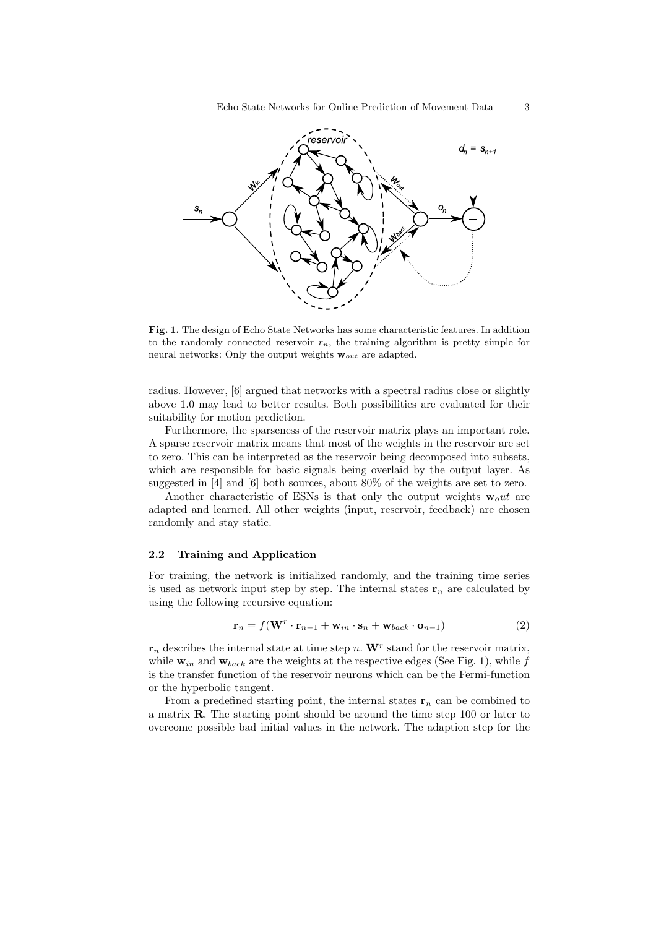

Fig. 1. The design of Echo State Networks has some characteristic features. In addition to the randomly connected reservoir  $r_n$ , the training algorithm is pretty simple for neural networks: Only the output weights  $\mathbf{w}_{out}$  are adapted.

radius. However, [6] argued that networks with a spectral radius close or slightly above 1.0 may lead to better results. Both possibilities are evaluated for their suitability for motion prediction.

Furthermore, the sparseness of the reservoir matrix plays an important role. A sparse reservoir matrix means that most of the weights in the reservoir are set to zero. This can be interpreted as the reservoir being decomposed into subsets, which are responsible for basic signals being overlaid by the output layer. As suggested in [4] and [6] both sources, about 80% of the weights are set to zero.

Another characteristic of ESNs is that only the output weights  $\mathbf{w}_{o}ut$  are adapted and learned. All other weights (input, reservoir, feedback) are chosen randomly and stay static.

#### 2.2 Training and Application

For training, the network is initialized randomly, and the training time series is used as network input step by step. The internal states  $r_n$  are calculated by using the following recursive equation:

$$
\mathbf{r}_n = f(\mathbf{W}^r \cdot \mathbf{r}_{n-1} + \mathbf{w}_{in} \cdot \mathbf{s}_n + \mathbf{w}_{back} \cdot \mathbf{o}_{n-1})
$$
(2)

 $\mathbf{r}_n$  describes the internal state at time step n. W<sup>r</sup> stand for the reservoir matrix, while  $w_{in}$  and  $w_{back}$  are the weights at the respective edges (See Fig. 1), while f is the transfer function of the reservoir neurons which can be the Fermi-function or the hyperbolic tangent.

From a predefined starting point, the internal states  $r_n$  can be combined to a matrix R. The starting point should be around the time step 100 or later to overcome possible bad initial values in the network. The adaption step for the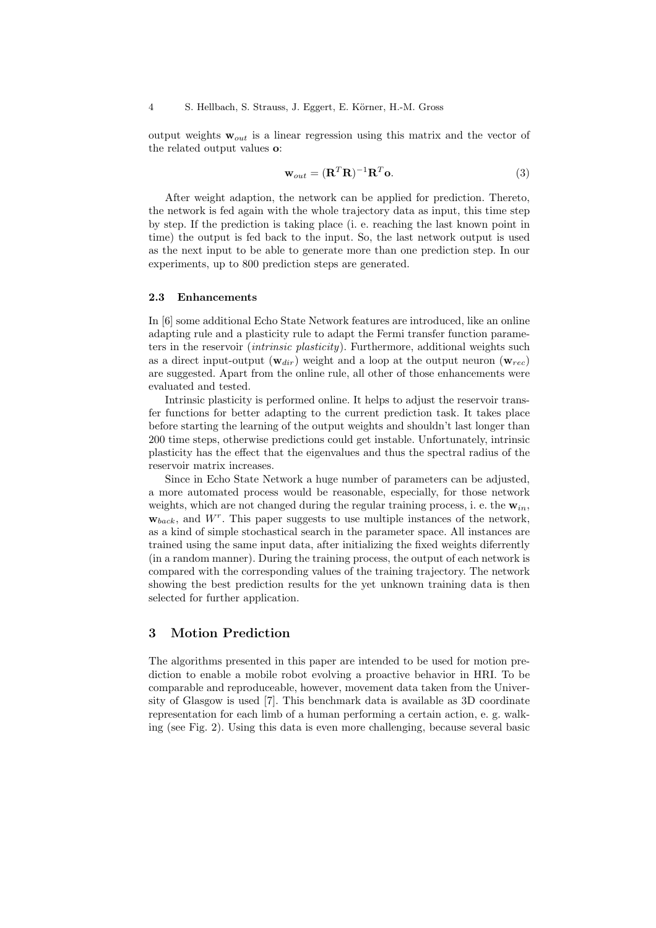output weights  $\mathbf{w}_{out}$  is a linear regression using this matrix and the vector of the related output values o:

$$
\mathbf{w}_{out} = (\mathbf{R}^T \mathbf{R})^{-1} \mathbf{R}^T \mathbf{o}.
$$
 (3)

After weight adaption, the network can be applied for prediction. Thereto, the network is fed again with the whole trajectory data as input, this time step by step. If the prediction is taking place (i. e. reaching the last known point in time) the output is fed back to the input. So, the last network output is used as the next input to be able to generate more than one prediction step. In our experiments, up to 800 prediction steps are generated.

## 2.3 Enhancements

In [6] some additional Echo State Network features are introduced, like an online adapting rule and a plasticity rule to adapt the Fermi transfer function parameters in the reservoir (intrinsic plasticity). Furthermore, additional weights such as a direct input-output  $(\mathbf{w}_{dir})$  weight and a loop at the output neuron  $(\mathbf{w}_{rec})$ are suggested. Apart from the online rule, all other of those enhancements were evaluated and tested.

Intrinsic plasticity is performed online. It helps to adjust the reservoir transfer functions for better adapting to the current prediction task. It takes place before starting the learning of the output weights and shouldn't last longer than 200 time steps, otherwise predictions could get instable. Unfortunately, intrinsic plasticity has the effect that the eigenvalues and thus the spectral radius of the reservoir matrix increases.

Since in Echo State Network a huge number of parameters can be adjusted, a more automated process would be reasonable, especially, for those network weights, which are not changed during the regular training process, i. e. the  $w_{in}$ ,  $\mathbf{w}_{back}$ , and  $W^{r}$ . This paper suggests to use multiple instances of the network, as a kind of simple stochastical search in the parameter space. All instances are trained using the same input data, after initializing the fixed weights diferrently (in a random manner). During the training process, the output of each network is compared with the corresponding values of the training trajectory. The network showing the best prediction results for the yet unknown training data is then selected for further application.

# 3 Motion Prediction

The algorithms presented in this paper are intended to be used for motion prediction to enable a mobile robot evolving a proactive behavior in HRI. To be comparable and reproduceable, however, movement data taken from the University of Glasgow is used [7]. This benchmark data is available as 3D coordinate representation for each limb of a human performing a certain action, e. g. walking (see Fig. 2). Using this data is even more challenging, because several basic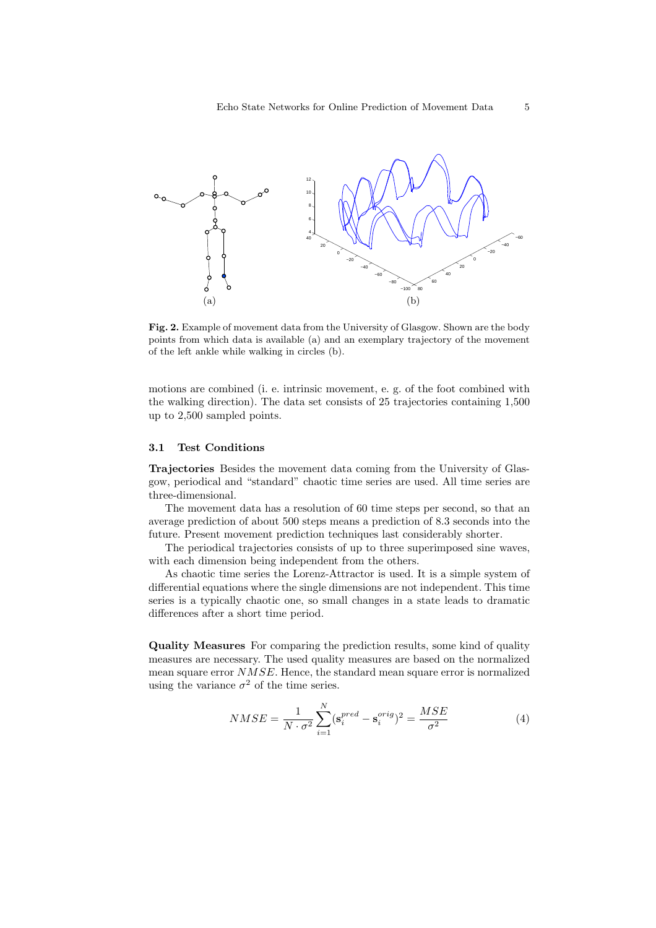

Fig. 2. Example of movement data from the University of Glasgow. Shown are the body points from which data is available (a) and an exemplary trajectory of the movement of the left ankle while walking in circles (b).

motions are combined (i. e. intrinsic movement, e. g. of the foot combined with the walking direction). The data set consists of 25 trajectories containing 1,500 up to 2,500 sampled points.

#### 3.1 Test Conditions

Trajectories Besides the movement data coming from the University of Glasgow, periodical and "standard" chaotic time series are used. All time series are three-dimensional.

The movement data has a resolution of 60 time steps per second, so that an average prediction of about 500 steps means a prediction of 8.3 seconds into the future. Present movement prediction techniques last considerably shorter.

The periodical trajectories consists of up to three superimposed sine waves, with each dimension being independent from the others.

As chaotic time series the Lorenz-Attractor is used. It is a simple system of differential equations where the single dimensions are not independent. This time series is a typically chaotic one, so small changes in a state leads to dramatic differences after a short time period.

Quality Measures For comparing the prediction results, some kind of quality measures are necessary. The used quality measures are based on the normalized mean square error NMSE. Hence, the standard mean square error is normalized using the variance  $\sigma^2$  of the time series.

$$
NMSE = \frac{1}{N \cdot \sigma^2} \sum_{i=1}^{N} (\mathbf{s}_i^{pred} - \mathbf{s}_i^{orig})^2 = \frac{MSE}{\sigma^2}
$$
(4)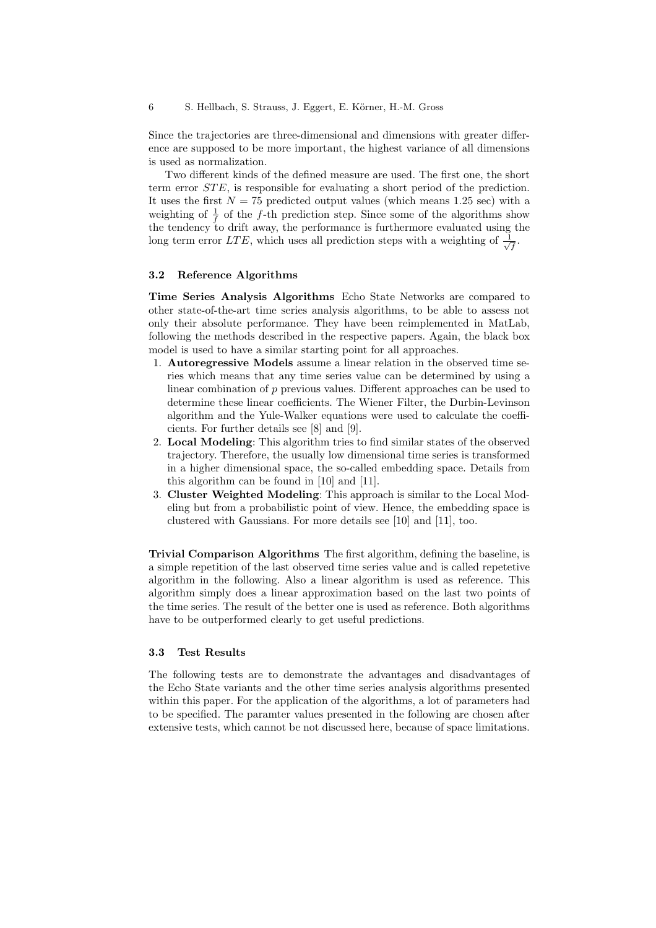Since the trajectories are three-dimensional and dimensions with greater difference are supposed to be more important, the highest variance of all dimensions is used as normalization.

Two different kinds of the defined measure are used. The first one, the short term error  $STE$ , is responsible for evaluating a short period of the prediction. It uses the first  $N = 75$  predicted output values (which means 1.25 sec) with a weighting of  $\frac{1}{f}$  of the f-th prediction step. Since some of the algorithms show the tendency to drift away, the performance is furthermore evaluated using the long term error LTE, which uses all prediction steps with a weighting of  $\frac{1}{\sqrt{f}}$ .

## 3.2 Reference Algorithms

Time Series Analysis Algorithms Echo State Networks are compared to other state-of-the-art time series analysis algorithms, to be able to assess not only their absolute performance. They have been reimplemented in MatLab, following the methods described in the respective papers. Again, the black box model is used to have a similar starting point for all approaches.

- 1. Autoregressive Models assume a linear relation in the observed time series which means that any time series value can be determined by using a linear combination of p previous values. Different approaches can be used to determine these linear coefficients. The Wiener Filter, the Durbin-Levinson algorithm and the Yule-Walker equations were used to calculate the coefficients. For further details see [8] and [9].
- 2. Local Modeling: This algorithm tries to find similar states of the observed trajectory. Therefore, the usually low dimensional time series is transformed in a higher dimensional space, the so-called embedding space. Details from this algorithm can be found in [10] and [11].
- 3. Cluster Weighted Modeling: This approach is similar to the Local Modeling but from a probabilistic point of view. Hence, the embedding space is clustered with Gaussians. For more details see [10] and [11], too.

Trivial Comparison Algorithms The first algorithm, defining the baseline, is a simple repetition of the last observed time series value and is called repetetive algorithm in the following. Also a linear algorithm is used as reference. This algorithm simply does a linear approximation based on the last two points of the time series. The result of the better one is used as reference. Both algorithms have to be outperformed clearly to get useful predictions.

## 3.3 Test Results

The following tests are to demonstrate the advantages and disadvantages of the Echo State variants and the other time series analysis algorithms presented within this paper. For the application of the algorithms, a lot of parameters had to be specified. The paramter values presented in the following are chosen after extensive tests, which cannot be not discussed here, because of space limitations.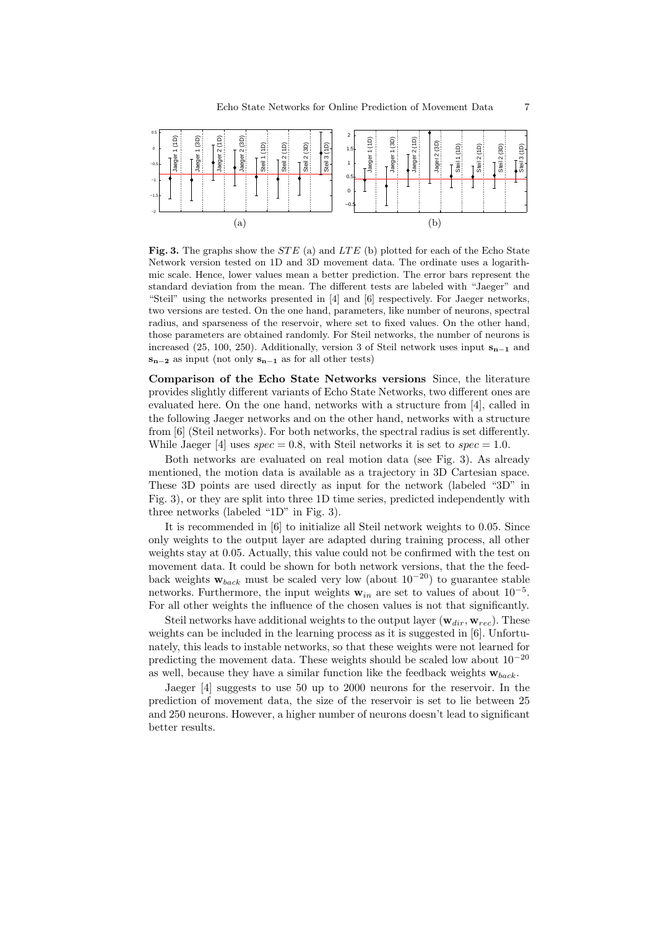

Fig. 3. The graphs show the  $STE$  (a) and  $LTE$  (b) plotted for each of the Echo State Network version tested on 1D and 3D movement data. The ordinate uses a logarithmic scale. Hence, lower values mean a better prediction. The error bars represent the standard deviation from the mean. The different tests are labeled with "Jaeger" and "Steil" using the networks presented in [4] and [6] respectively. For Jaeger networks, two versions are tested. On the one hand, parameters, like number of neurons, spectral radius, and sparseness of the reservoir, where set to fixed values. On the other hand, those parameters are obtained randomly. For Steil networks, the number of neurons is increased (25, 100, 250). Additionally, version 3 of Steil network uses input  $s_{n-1}$  and  $s_{n-2}$  as input (not only  $s_{n-1}$  as for all other tests)

Comparison of the Echo State Networks versions Since, the literature provides slightly different variants of Echo State Networks, two different ones are evaluated here. On the one hand, networks with a structure from [4], called in the following Jaeger networks and on the other hand, networks with a structure from [6] (Steil networks). For both networks, the spectral radius is set differently. While Jaeger [4] uses  $spec = 0.8$ , with Steil networks it is set to  $spec = 1.0$ .

Both networks are evaluated on real motion data (see Fig. 3). As already mentioned, the motion data is available as a trajectory in 3D Cartesian space. These 3D points are used directly as input for the network (labeled "3D" in Fig. 3), or they are split into three 1D time series, predicted independently with three networks (labeled "1D" in Fig. 3).

It is recommended in [6] to initialize all Steil network weights to 0.05. Since only weights to the output layer are adapted during training process, all other weights stay at 0.05. Actually, this value could not be confirmed with the test on movement data. It could be shown for both network versions, that the the feedback weights  $\mathbf{w}_{back}$  must be scaled very low (about  $10^{-20}$ ) to guarantee stable networks. Furthermore, the input weights  $w_{in}$  are set to values of about 10<sup>-5</sup>. For all other weights the influence of the chosen values is not that significantly.

Steil networks have additional weights to the output layer ( $\mathbf{w}_{dir}, \mathbf{w}_{rec}$ ). These weights can be included in the learning process as it is suggested in [6]. Unfortunately, this leads to instable networks, so that these weights were not learned for predicting the movement data. These weights should be scaled low about  $10^{-20}$ as well, because they have a similar function like the feedback weights  $\mathbf{w}_{back}$ .

Jaeger [4] suggests to use 50 up to 2000 neurons for the reservoir. In the prediction of movement data, the size of the reservoir is set to lie between 25 and 250 neurons. However, a higher number of neurons doesn't lead to significant better results.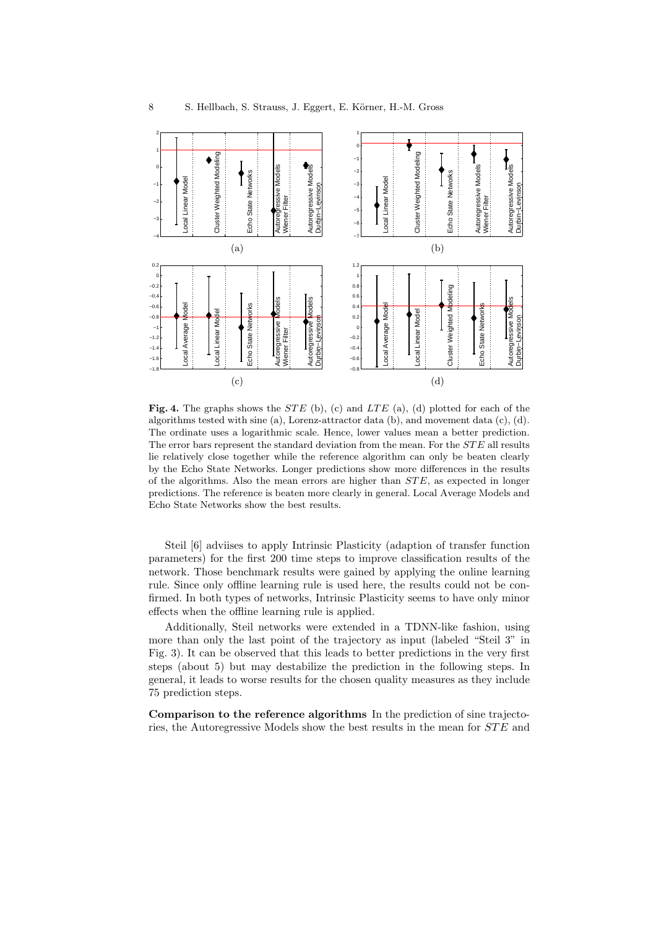

Fig. 4. The graphs shows the  $STE$  (b), (c) and  $LTE$  (a), (d) plotted for each of the algorithms tested with sine (a), Lorenz-attractor data (b), and movement data  $(c)$ ,  $(d)$ . The ordinate uses a logarithmic scale. Hence, lower values mean a better prediction. The error bars represent the standard deviation from the mean. For the STE all results lie relatively close together while the reference algorithm can only be beaten clearly by the Echo State Networks. Longer predictions show more differences in the results of the algorithms. Also the mean errors are higher than  $STE$ , as expected in longer predictions. The reference is beaten more clearly in general. Local Average Models and Echo State Networks show the best results.

Steil [6] adviises to apply Intrinsic Plasticity (adaption of transfer function parameters) for the first 200 time steps to improve classification results of the network. Those benchmark results were gained by applying the online learning rule. Since only offline learning rule is used here, the results could not be confirmed. In both types of networks, Intrinsic Plasticity seems to have only minor effects when the offline learning rule is applied.

Additionally, Steil networks were extended in a TDNN-like fashion, using more than only the last point of the trajectory as input (labeled "Steil 3" in Fig. 3). It can be observed that this leads to better predictions in the very first steps (about 5) but may destabilize the prediction in the following steps. In general, it leads to worse results for the chosen quality measures as they include 75 prediction steps.

Comparison to the reference algorithms In the prediction of sine trajectories, the Autoregressive Models show the best results in the mean for  $STE$  and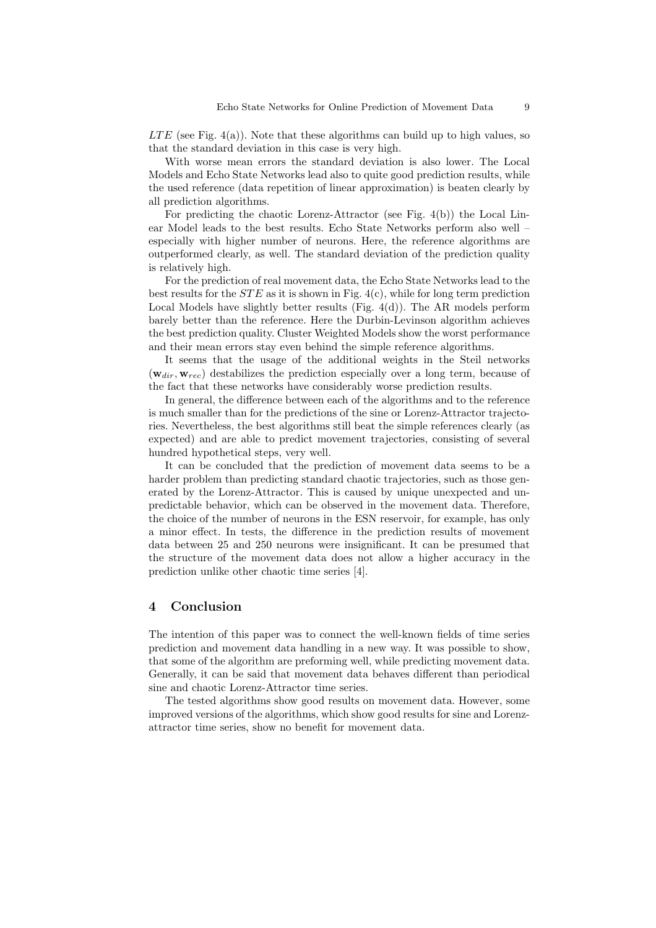$LTE$  (see Fig. 4(a)). Note that these algorithms can build up to high values, so that the standard deviation in this case is very high.

With worse mean errors the standard deviation is also lower. The Local Models and Echo State Networks lead also to quite good prediction results, while the used reference (data repetition of linear approximation) is beaten clearly by all prediction algorithms.

For predicting the chaotic Lorenz-Attractor (see Fig. 4(b)) the Local Linear Model leads to the best results. Echo State Networks perform also well – especially with higher number of neurons. Here, the reference algorithms are outperformed clearly, as well. The standard deviation of the prediction quality is relatively high.

For the prediction of real movement data, the Echo State Networks lead to the best results for the  $STE$  as it is shown in Fig. 4(c), while for long term prediction Local Models have slightly better results (Fig. 4(d)). The AR models perform barely better than the reference. Here the Durbin-Levinson algorithm achieves the best prediction quality. Cluster Weighted Models show the worst performance and their mean errors stay even behind the simple reference algorithms.

It seems that the usage of the additional weights in the Steil networks  $(\mathbf{w}_{dir}, \mathbf{w}_{rec})$  destabilizes the prediction especially over a long term, because of the fact that these networks have considerably worse prediction results.

In general, the difference between each of the algorithms and to the reference is much smaller than for the predictions of the sine or Lorenz-Attractor trajectories. Nevertheless, the best algorithms still beat the simple references clearly (as expected) and are able to predict movement trajectories, consisting of several hundred hypothetical steps, very well.

It can be concluded that the prediction of movement data seems to be a harder problem than predicting standard chaotic trajectories, such as those generated by the Lorenz-Attractor. This is caused by unique unexpected and unpredictable behavior, which can be observed in the movement data. Therefore, the choice of the number of neurons in the ESN reservoir, for example, has only a minor effect. In tests, the difference in the prediction results of movement data between 25 and 250 neurons were insignificant. It can be presumed that the structure of the movement data does not allow a higher accuracy in the prediction unlike other chaotic time series [4].

# 4 Conclusion

The intention of this paper was to connect the well-known fields of time series prediction and movement data handling in a new way. It was possible to show, that some of the algorithm are preforming well, while predicting movement data. Generally, it can be said that movement data behaves different than periodical sine and chaotic Lorenz-Attractor time series.

The tested algorithms show good results on movement data. However, some improved versions of the algorithms, which show good results for sine and Lorenzattractor time series, show no benefit for movement data.